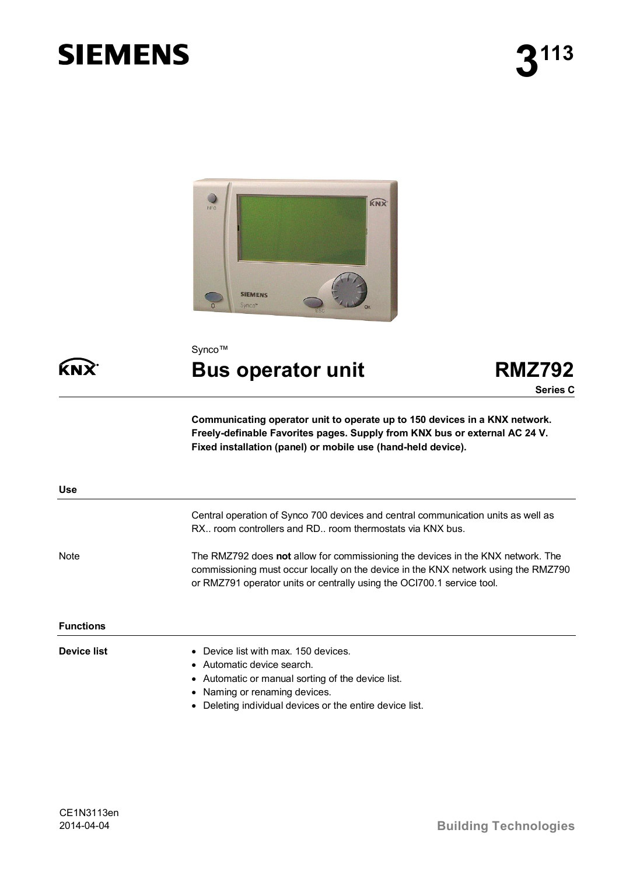# **SIEMENS**



Synco™

# **Bus operator unit RMZ792**



**Communicating operator unit to operate up to 150 devices in a KNX network. Freely-definable Favorites pages. Supply from KNX bus or external AC 24 V. Fixed installation (panel) or mobile use (hand-held device).**

| <b>Use</b>       |                                                                                                                                                                                                                                                       |
|------------------|-------------------------------------------------------------------------------------------------------------------------------------------------------------------------------------------------------------------------------------------------------|
|                  | Central operation of Synco 700 devices and central communication units as well as<br>RX, room controllers and RD, room thermostats via KNX bus.                                                                                                       |
| <b>Note</b>      | The RMZ792 does not allow for commissioning the devices in the KNX network. The<br>commissioning must occur locally on the device in the KNX network using the RMZ790<br>or RMZ791 operator units or centrally using the OCI700.1 service tool.       |
| <b>Functions</b> |                                                                                                                                                                                                                                                       |
| Device list      | Device list with max, 150 devices.<br>$\bullet$<br>• Automatic device search.<br>• Automatic or manual sorting of the device list.<br>Naming or renaming devices.<br>$\bullet$<br>Deleting individual devices or the entire device list.<br>$\bullet$ |

**KNX**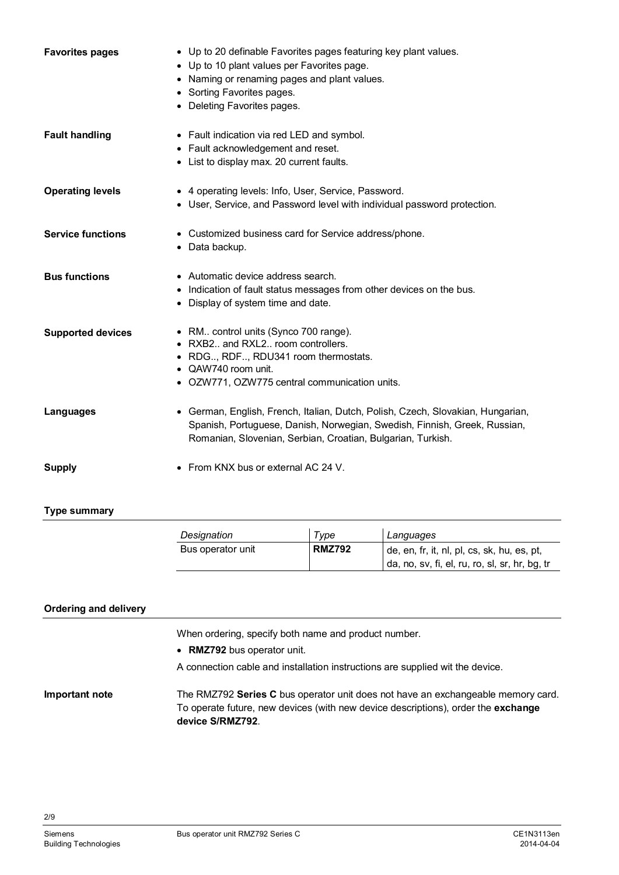| <b>Favorites pages</b>   | • Up to 20 definable Favorites pages featuring key plant values.<br>• Up to 10 plant values per Favorites page.<br>• Naming or renaming pages and plant values.<br>• Sorting Favorites pages.<br>• Deleting Favorites pages. |
|--------------------------|------------------------------------------------------------------------------------------------------------------------------------------------------------------------------------------------------------------------------|
| <b>Fault handling</b>    | • Fault indication via red LED and symbol.<br>• Fault acknowledgement and reset.<br>• List to display max. 20 current faults.                                                                                                |
| <b>Operating levels</b>  | • 4 operating levels: Info, User, Service, Password.<br>• User, Service, and Password level with individual password protection.                                                                                             |
| <b>Service functions</b> | • Customized business card for Service address/phone.<br>• Data backup.                                                                                                                                                      |
| <b>Bus functions</b>     | • Automatic device address search.<br>• Indication of fault status messages from other devices on the bus.<br>• Display of system time and date.                                                                             |
| <b>Supported devices</b> | • RM control units (Synco 700 range).<br>• RXB2 and RXL2 room controllers.<br>• RDG, RDF, RDU341 room thermostats.<br>$\bullet$ QAW740 room unit.<br>• OZW771, OZW775 central communication units.                           |
| Languages                | • German, English, French, Italian, Dutch, Polish, Czech, Slovakian, Hungarian,<br>Spanish, Portuguese, Danish, Norwegian, Swedish, Finnish, Greek, Russian,<br>Romanian, Slovenian, Serbian, Croatian, Bulgarian, Turkish.  |
| <b>Supply</b>            | • From KNX bus or external AC 24 V.                                                                                                                                                                                          |

#### **Type summary**

| Designation       | Type          | Languages                                                                                     |
|-------------------|---------------|-----------------------------------------------------------------------------------------------|
| Bus operator unit | <b>RMZ792</b> | de, en, fr, it, nl, pl, cs, sk, hu, es, pt,<br>da, no, sv, fi, el, ru, ro, sl, sr, hr, bg, tr |

#### **Ordering and delivery**

When ordering, specify both name and product number.

- · **RMZ792** bus operator unit.
- A connection cable and installation instructions are supplied wit the device.

The RMZ792 **Series C** bus operator unit does not have an exchangeable memory card. To operate future, new devices (with new device descriptions), order the **exchange device S/RMZ792**. **Important note**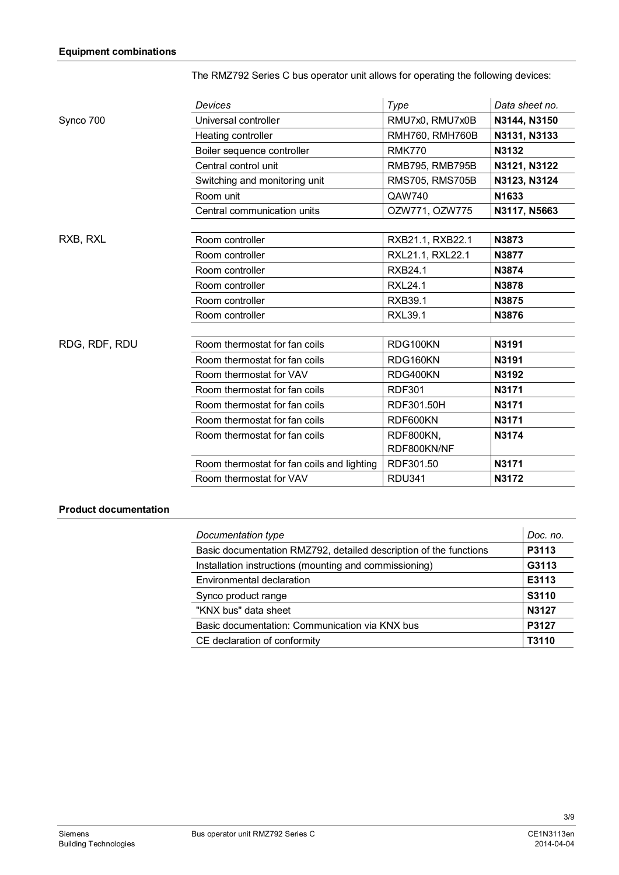|               | Devices                                    | Type                   | Data sheet no. |
|---------------|--------------------------------------------|------------------------|----------------|
| Synco 700     | Universal controller                       | RMU7x0, RMU7x0B        | N3144, N3150   |
|               | Heating controller                         | <b>RMH760, RMH760B</b> | N3131, N3133   |
|               | Boiler sequence controller                 | <b>RMK770</b>          | N3132          |
|               | Central control unit                       | RMB795, RMB795B        | N3121, N3122   |
|               | Switching and monitoring unit              | <b>RMS705, RMS705B</b> | N3123, N3124   |
|               | Room unit                                  | QAW740                 | N1633          |
|               | Central communication units                | OZW771, OZW775         | N3117, N5663   |
|               |                                            |                        |                |
| RXB, RXL      | Room controller                            | RXB21.1, RXB22.1       | N3873          |
|               | Room controller                            | RXL21.1, RXL22.1       | N3877          |
|               | Room controller                            | <b>RXB24.1</b>         | N3874          |
|               | Room controller                            | <b>RXL24.1</b>         | N3878          |
|               | Room controller                            | <b>RXB39.1</b>         | N3875          |
|               | Room controller                            | <b>RXL39.1</b>         | N3876          |
|               |                                            |                        |                |
| RDG, RDF, RDU | Room thermostat for fan coils              | RDG100KN               | N3191          |
|               | Room thermostat for fan coils              | RDG160KN               | N3191          |
|               | Room thermostat for VAV                    | RDG400KN               | N3192          |
|               | Room thermostat for fan coils              | <b>RDF301</b>          | N3171          |
|               | Room thermostat for fan coils              | RDF301.50H             | N3171          |
|               | Room thermostat for fan coils              | RDF600KN               | N3171          |
|               | Room thermostat for fan coils              | RDF800KN,              | N3174          |
|               |                                            | RDF800KN/NF            |                |
|               | Room thermostat for fan coils and lighting | RDF301.50              | N3171          |
|               | Room thermostat for VAV                    | <b>RDU341</b>          | N3172          |

## The RMZ792 Series C bus operator unit allows for operating the following devices:

#### **Product documentation**

| Documentation type                                                | Doc. no. |
|-------------------------------------------------------------------|----------|
| Basic documentation RMZ792, detailed description of the functions | P3113    |
| Installation instructions (mounting and commissioning)            | G3113    |
| Environmental declaration                                         | E3113    |
| Synco product range                                               | S3110    |
| "KNX bus" data sheet                                              | N3127    |
| Basic documentation: Communication via KNX bus                    | P3127    |
| CE declaration of conformity                                      | T3110    |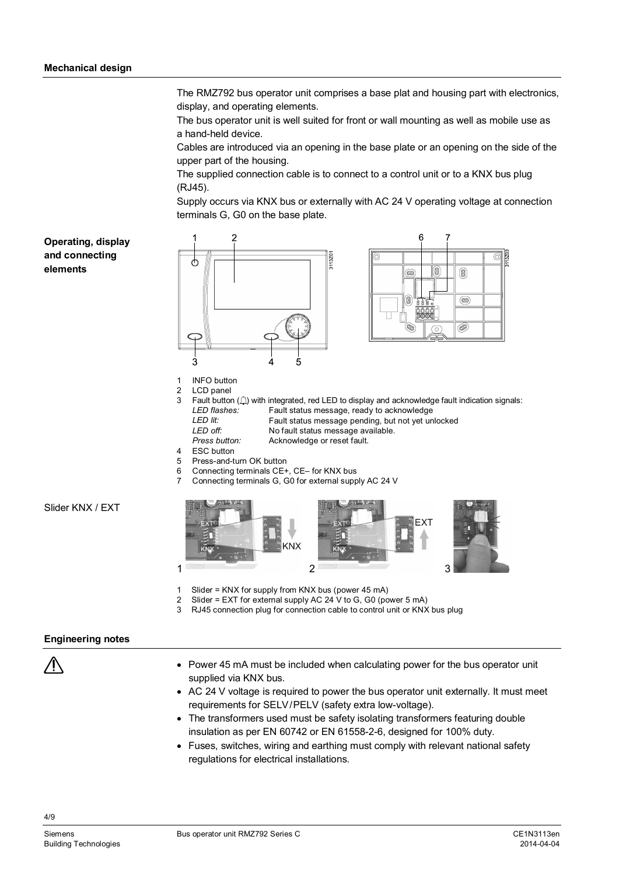The RMZ792 bus operator unit comprises a base plat and housing part with electronics, display, and operating elements.

The bus operator unit is well suited for front or wall mounting as well as mobile use as a hand-held device.

Cables are introduced via an opening in the base plate or an opening on the side of the upper part of the housing.

The supplied connection cable is to connect to a control unit or to a KNX bus plug (RJ45).

Supply occurs via KNX bus or externally with AC 24 V operating voltage at connection terminals G, G0 on the base plate.

0

 $\circledcirc$ 

- C

**Operating, display and connecting elements**



- 1 INFO button<br>2 LCD panel
- LCD panel
- 3 Fault button  $( \bigtriangleup )$  with integrated, red LED to display and acknowledge fault indication signals: *LED flashes:* Fault status message, ready to acknowledge *LED lit:* Fault status message pending, but not yet unlocked<br> *LED off*<br> *LED off LED off:* No fault status message available. Acknowledge or reset fault.
- 4 ESC button
- 5 Press-and-turn OK button
- 6 Connecting terminals CE+, CE– for KNX bus
- 7 Connecting terminals G, G0 for external supply AC 24 V

KNX  $1$   $2$   $3$ 

- 1 Slider = KNX for supply from KNX bus (power 45 mA)
- 2 Slider = EXT for external supply AC 24 V to G, G0 (power 5 mA)
- 3 RJ45 connection plug for connection cable to control unit or KNX bus plug

#### **Engineering notes**

Slider KNX / EXT



- · Power 45 mA must be included when calculating power for the bus operator unit supplied via KNX bus.
- · AC 24 V voltage is required to power the bus operator unit externally. It must meet requirements for SELV/PELV (safety extra low-voltage).
- · The transformers used must be safety isolating transformers featuring double insulation as per EN 60742 or EN 61558-2-6, designed for 100% duty.
- · Fuses, switches, wiring and earthing must comply with relevant national safety regulations for electrical installations.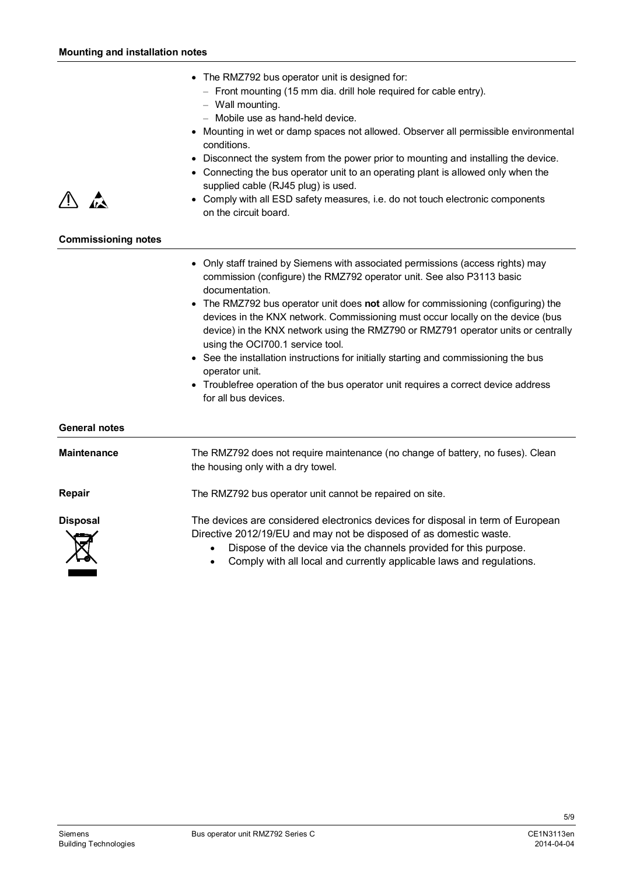- · The RMZ792 bus operator unit is designed for:
	- Front mounting (15 mm dia. drill hole required for cable entry).
	- Wall mounting.
	- Mobile use as hand-held device.
- · Mounting in wet or damp spaces not allowed. Observer all permissible environmental conditions.
- · Disconnect the system from the power prior to mounting and installing the device.
- · Connecting the bus operator unit to an operating plant is allowed only when the supplied cable (RJ45 plug) is used.
- · Comply with all ESD safety measures, i.e. do not touch electronic components on the circuit board.

#### **Commissioning notes**

- · Only staff trained by Siemens with associated permissions (access rights) may commission (configure) the RMZ792 operator unit. See also P3113 basic documentation.
- · The RMZ792 bus operator unit does **not** allow for commissioning (configuring) the devices in the KNX network. Commissioning must occur locally on the device (bus device) in the KNX network using the RMZ790 or RMZ791 operator units or centrally using the OCI700.1 service tool.
- · See the installation instructions for initially starting and commissioning the bus operator unit.
- · Troublefree operation of the bus operator unit requires a correct device address for all bus devices.

#### **General notes**

**Maintenance**

The RMZ792 does not require maintenance (no change of battery, no fuses). Clean the housing only with a dry towel.

The RMZ792 bus operator unit cannot be repaired on site.

**Repair**

**Disposal**

The devices are considered electronics devices for disposal in term of European Directive 2012/19/EU and may not be disposed of as domestic waste.

- Dispose of the device via the channels provided for this purpose.
- Comply with all local and currently applicable laws and regulations.

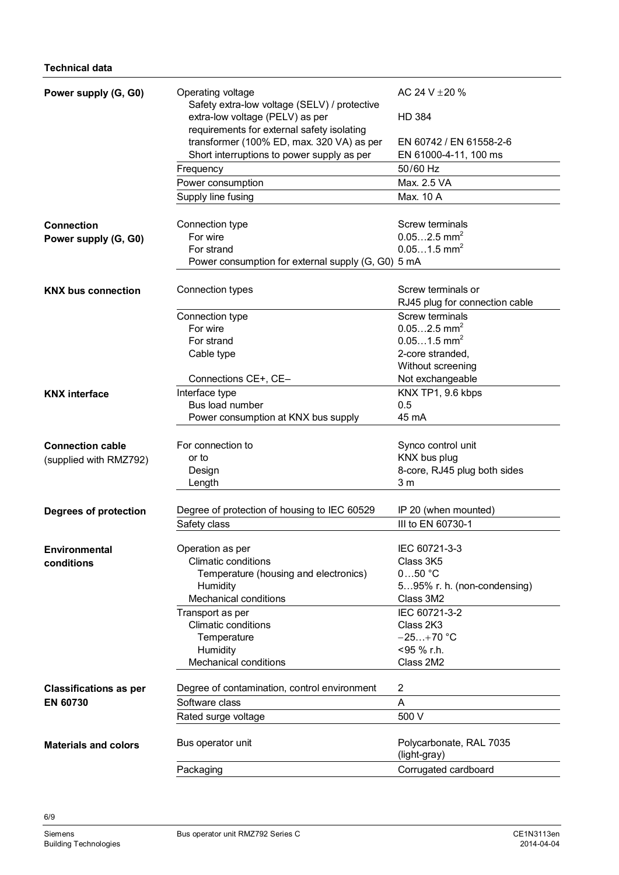| Power supply (G, G0)          | Operating voltage<br>Safety extra-low voltage (SELV) / protective             | AC 24 V $\pm$ 20 %                      |
|-------------------------------|-------------------------------------------------------------------------------|-----------------------------------------|
|                               | extra-low voltage (PELV) as per<br>requirements for external safety isolating | <b>HD 384</b>                           |
|                               | transformer (100% ED, max. 320 VA) as per                                     | EN 60742 / EN 61558-2-6                 |
|                               | Short interruptions to power supply as per                                    | EN 61000-4-11, 100 ms                   |
|                               | Frequency                                                                     | 50/60 Hz                                |
|                               | Power consumption                                                             | Max. 2.5 VA                             |
|                               | Supply line fusing                                                            | Max. 10 A                               |
| <b>Connection</b>             | Connection type                                                               | Screw terminals                         |
| Power supply (G, G0)          | For wire                                                                      | $0.052.5$ mm <sup>2</sup>               |
|                               | For strand                                                                    | $0.051.5$ mm <sup>2</sup>               |
|                               | Power consumption for external supply (G, G0) 5 mA                            |                                         |
| <b>KNX bus connection</b>     | Connection types                                                              | Screw terminals or                      |
|                               |                                                                               | RJ45 plug for connection cable          |
|                               | Connection type                                                               | Screw terminals                         |
|                               | For wire                                                                      | $0.052.5$ mm <sup>2</sup>               |
|                               | For strand                                                                    | $0.051.5$ mm <sup>2</sup>               |
|                               | Cable type                                                                    | 2-core stranded,                        |
|                               |                                                                               | Without screening                       |
|                               | Connections CE+, CE-                                                          | Not exchangeable                        |
| <b>KNX</b> interface          | Interface type                                                                | KNX TP1, 9.6 kbps                       |
|                               | Bus load number                                                               | 0.5                                     |
|                               | Power consumption at KNX bus supply                                           | 45 mA                                   |
|                               |                                                                               |                                         |
| <b>Connection cable</b>       | For connection to                                                             | Synco control unit                      |
| (supplied with RMZ792)        | or to                                                                         | KNX bus plug                            |
|                               | Design                                                                        | 8-core, RJ45 plug both sides            |
|                               | Length                                                                        | 3 <sub>m</sub>                          |
| Degrees of protection         | Degree of protection of housing to IEC 60529                                  | IP 20 (when mounted)                    |
|                               | Safety class                                                                  | III to EN 60730-1                       |
|                               |                                                                               |                                         |
| <b>Environmental</b>          | Operation as per                                                              | IEC 60721-3-3                           |
| conditions                    | <b>Climatic conditions</b>                                                    | Class 3K5                               |
|                               | Temperature (housing and electronics)                                         | $050$ °C                                |
|                               | Humidity                                                                      | 595% r. h. (non-condensing)             |
|                               | <b>Mechanical conditions</b>                                                  | Class 3M2                               |
|                               | Transport as per                                                              | IEC 60721-3-2                           |
|                               | <b>Climatic conditions</b>                                                    | Class 2K3                               |
|                               | Temperature                                                                   | $-25+70$ °C                             |
|                               | Humidity                                                                      | <95 % r.h.                              |
|                               | <b>Mechanical conditions</b>                                                  | Class 2M2                               |
| <b>Classifications as per</b> | Degree of contamination, control environment                                  | 2                                       |
| <b>EN 60730</b>               | Software class                                                                | A                                       |
|                               | Rated surge voltage                                                           | 500 V                                   |
|                               |                                                                               |                                         |
| <b>Materials and colors</b>   | Bus operator unit                                                             | Polycarbonate, RAL 7035<br>(light-gray) |
|                               | Packaging                                                                     | Corrugated cardboard                    |
|                               |                                                                               |                                         |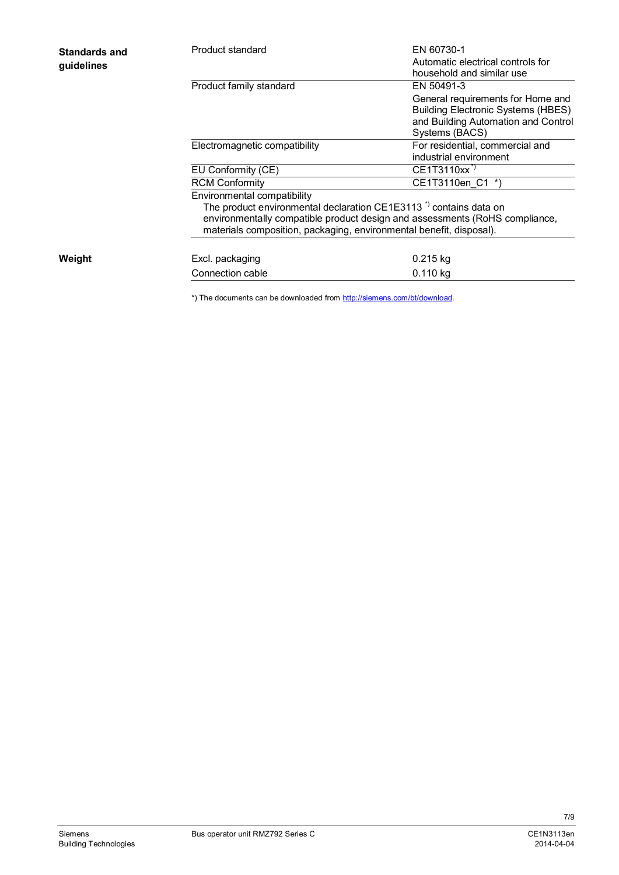| <b>Standards and</b><br>guidelines | Product standard                                                                                                                                                                                                                                                  | EN 60730-1<br>Automatic electrical controls for<br>household and similar use                                                            |
|------------------------------------|-------------------------------------------------------------------------------------------------------------------------------------------------------------------------------------------------------------------------------------------------------------------|-----------------------------------------------------------------------------------------------------------------------------------------|
|                                    | Product family standard                                                                                                                                                                                                                                           | EN 50491-3                                                                                                                              |
|                                    |                                                                                                                                                                                                                                                                   | General requirements for Home and<br><b>Building Electronic Systems (HBES)</b><br>and Building Automation and Control<br>Systems (BACS) |
|                                    | Electromagnetic compatibility                                                                                                                                                                                                                                     | For residential, commercial and<br>industrial environment                                                                               |
|                                    | EU Conformity (CE)                                                                                                                                                                                                                                                | CE1T3110xx <sup>*)</sup>                                                                                                                |
|                                    | <b>RCM Conformity</b>                                                                                                                                                                                                                                             | CE1T3110en C1 *)                                                                                                                        |
|                                    | Environmental compatibility<br>The product environmental declaration CE1E3113 <sup>*</sup> contains data on<br>environmentally compatible product design and assessments (RoHS compliance,<br>materials composition, packaging, environmental benefit, disposal). |                                                                                                                                         |
| Weight                             | Excl. packaging                                                                                                                                                                                                                                                   | $0.215$ kg                                                                                                                              |
|                                    | Connection cable                                                                                                                                                                                                                                                  | 0.110 kg                                                                                                                                |
|                                    |                                                                                                                                                                                                                                                                   |                                                                                                                                         |

\*) The documents can be downloaded from [http://siemens.com/bt/download.](http://siemens.com/bt/download)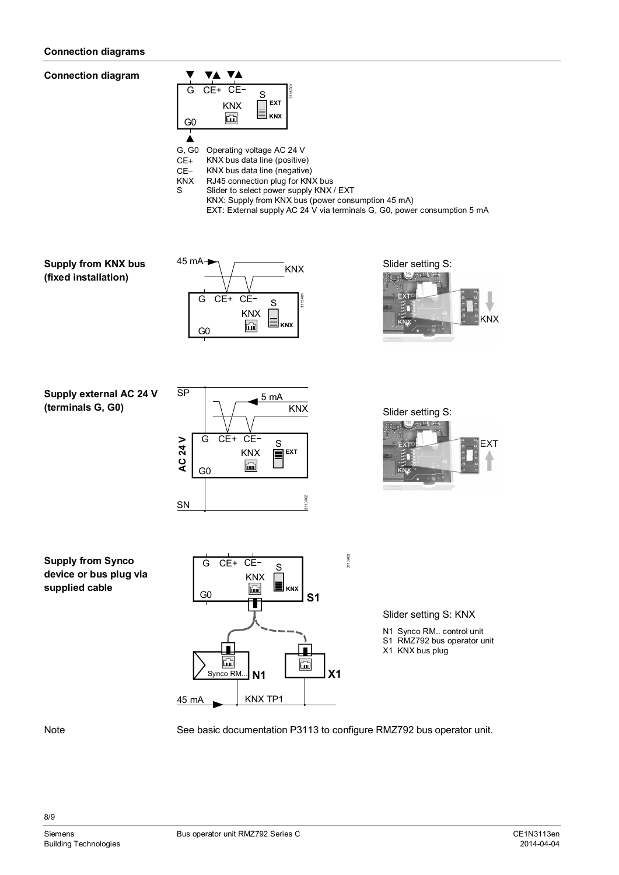#### **Connection diagrams**

**Connection diagram**



G, G0 Operating voltage AC 24 V

CE+ KNX bus data line (positive)<br>CE- KNX bus data line (negative

CE- KNX bus data line (negative)<br>KNX RJ45 connection plug for KN.

KNX RJ45 connection plug for KNX bus<br>Sider to select nower supply KNX

Slider to select power supply KNX / EXT

KNX: Supply from KNX bus (power consumption 45 mA) EXT: External supply AC 24 V via terminals G, G0, power consumption 5 mA

**Supply from KNX bus (fixed installation)**





**Supply external AC 24 V (terminals G, G0)**





### **Supply from Synco device or bus plug via supplied cable**



Slider setting S: KNX

N1 Synco RM.. control unit S1 RMZ792 bus operator unit

X1 KNX bus plug

Note

8/9

See basic documentation P3113 to configure RMZ792 bus operator unit.